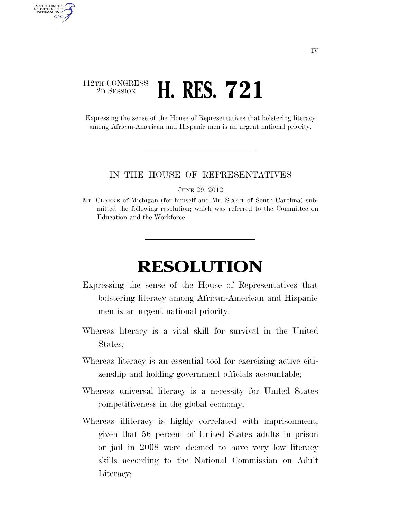## 112TH CONGRESS <sup>2D SESSION</sup> **H. RES. 721**

AUTHENTICATED U.S. GOVERNMENT **GPO** 

> Expressing the sense of the House of Representatives that bolstering literacy among African-American and Hispanic men is an urgent national priority.

## IN THE HOUSE OF REPRESENTATIVES

JUNE 29, 2012

Mr. CLARKE of Michigan (for himself and Mr. SCOTT of South Carolina) submitted the following resolution; which was referred to the Committee on Education and the Workforce

## **RESOLUTION**

- Expressing the sense of the House of Representatives that bolstering literacy among African-American and Hispanic men is an urgent national priority.
- Whereas literacy is a vital skill for survival in the United States;
- Whereas literacy is an essential tool for exercising active citizenship and holding government officials accountable;
- Whereas universal literacy is a necessity for United States competitiveness in the global economy;
- Whereas illiteracy is highly correlated with imprisonment, given that 56 percent of United States adults in prison or jail in 2008 were deemed to have very low literacy skills according to the National Commission on Adult Literacy;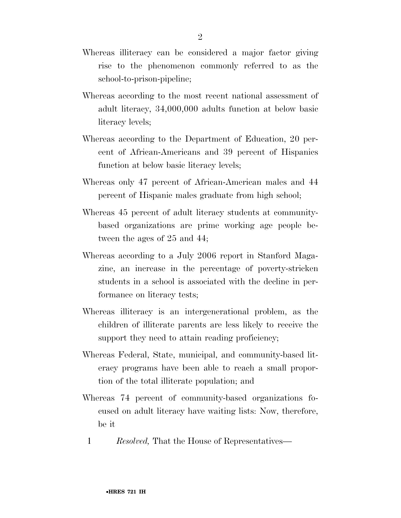- Whereas illiteracy can be considered a major factor giving rise to the phenomenon commonly referred to as the school-to-prison-pipeline;
- Whereas according to the most recent national assessment of adult literacy, 34,000,000 adults function at below basic literacy levels;
- Whereas according to the Department of Education, 20 percent of African-Americans and 39 percent of Hispanics function at below basic literacy levels;
- Whereas only 47 percent of African-American males and 44 percent of Hispanic males graduate from high school;
- Whereas 45 percent of adult literacy students at communitybased organizations are prime working age people between the ages of 25 and 44;
- Whereas according to a July 2006 report in Stanford Magazine, an increase in the percentage of poverty-stricken students in a school is associated with the decline in performance on literacy tests;
- Whereas illiteracy is an intergenerational problem, as the children of illiterate parents are less likely to receive the support they need to attain reading proficiency;
- Whereas Federal, State, municipal, and community-based literacy programs have been able to reach a small proportion of the total illiterate population; and
- Whereas 74 percent of community-based organizations focused on adult literacy have waiting lists: Now, therefore, be it
	- 1 *Resolved,* That the House of Representatives—